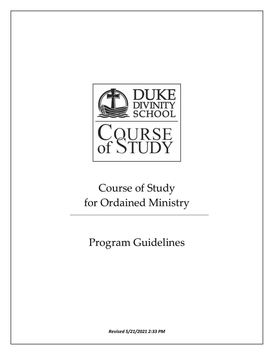

# Course of Study for Ordained Ministry

Program Guidelines

*Revised 5/21/2021 2:33 PM*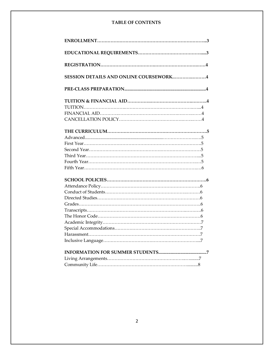## **TABLE OF CONTENTS**

| <b>SESSION DETAILS AND ONLINE COURSEWORK4</b> |
|-----------------------------------------------|
|                                               |
|                                               |
|                                               |
|                                               |
|                                               |
|                                               |
|                                               |
|                                               |
|                                               |
|                                               |
|                                               |
|                                               |
|                                               |
|                                               |
|                                               |
|                                               |
|                                               |
|                                               |
|                                               |
|                                               |
|                                               |
|                                               |
|                                               |
|                                               |
|                                               |
|                                               |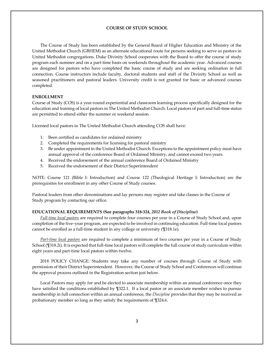## **COURSE OF STUDY SCHOOL**

The Course of Study has been established by the General Board of Higher Education and Ministry of the United Methodist Church (GBHEM) as an alternate educational route for persons seeking to serve as pastors in United Methodist congregations. Duke Divinity School cooperates with the Board to offer the course of study program each summer and on a part-time basis on weekends throughout the academic year. Advanced courses are designed for pastors who have completed the basic course of study and are seeking ordination in full connection. Course instructors include faculty, doctoral students and staff of the Divinity School as well as seasoned practitioners and pastoral leaders. University credit is not granted for basic or advanced courses completed.

#### **ENROLLMENT**

Course of Study (COS) is a year-round experiential and classroom learning process specifically designed for the education and training of local pastors in The United Methodist Church. Local pastors of part and full-time status are permitted to attend either the summer or weekend session.

Licensed local pastors in The United Methodist Church attending COS shall have:

- 1. Been certified as candidates for ordained ministry
- 2. Completed the requirements for licensing for pastoral ministry
- 3. Be under appointment in the United Methodist Church. Exceptions to the appointment policy must have annual approval of the conference Board of Ordained Ministry, and cannot exceed two years.
- 4. Received the endorsement of the annual conference Board of Ordained Ministry
- 5. Received the endorsement of their District Superintendent

NOTE: Course 121 (Bible I: Introduction) and Course 122 (Theological Heritage I: Introduction) are the prerequisites for enrollment in any other Course of Study courses.

Pastoral leaders from other denominations and lay persons may register and take classes in the Course of Study program by contacting our office.

#### **EDUCATIONAL REQUIREMENTS (See paragraphs 318-324,** *2012 Book of Discipline***)**

*Full-time local pastors* are required to complete four courses per year in a Course of Study School and, upon completion of the five–year program, are expected to be involved in continuing education. Full-time local pastors cannot be enrolled as a full-time student in any college or university (¶318.1e).

*Part-time local pastors* are required to complete a minimum of two courses per year in a Course of Study School (¶318.2i). It is expected that full-time local pastors will complete the full course of study curriculum within eight years and part-time local pastors within twelve.

2018 POLICY CHANGE: Students may take any number of courses through Course of Study with permission of their District Superintendent. However, the Course of Study School and Conferences will continue the approval process outlined in the Registration section just below.

Local Pastors may apply for and be elected to associate membership within an annual conference once they have satisfied the conditions established by ¶322.1. If a local pastor or an associate member wishes to pursue membership in full connection within an annual conference, the *Discipline* provides that they may be received as probationary member so long as they satisfy the requirements of ¶324.6.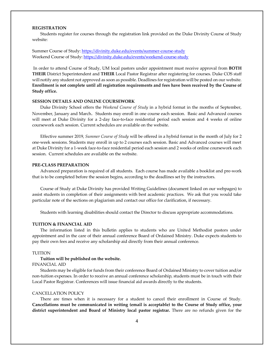## **REGISTRATION**

Students register for courses through the registration link provided on the Duke Divinity Course of Study website:

## Summer Course of Study: <https://divinity.duke.edu/events/summer-course-study> Weekend Course of Study:<https://divinity.duke.edu/events/weekend-course-study>

In order to attend Course of Study, UM local pastors under appointment must receive approval from **BOTH THEIR** District Superintendent and **THEIR** Local Pastor Registrar after registering for courses. Duke COS staff will notify any student not approved as soon as possible. Deadlines for registration will be posted on our website. **Enrollment is not complete until all registration requirements and fees have been received by the Course of Study office.**

#### **SESSION DETAILS AND ONLINE COURSEWORK**

Duke Divinity School offers the *Weekend Course of Study* in a hybrid format in the months of September, November, January and March.Students may enroll in one course each session. Basic and Advanced courses will meet at Duke Divinity for a 2-day face-to-face residential period each session and 4 weeks of online coursework each session. Current schedules are available on the website.

Effective summer 2019, *Summer Course of Study* will be offered in a hybrid format in the month of July for 2 one-week sessions. Students may enroll in up to 2 courses each session. Basic and Advanced courses will meet at Duke Divinity for a 1-week face-to-face residential period each session and 2 weeks of online coursework each session. Current schedules are available on the website.

## **PRE-CLASS PREPARATION**

Advanced preparation is required of all students. Each course has made available a booklist and pre-work that is to be completed before the session begins, according to the deadlines set by the instructors.

Course of Study at Duke Divinity has provided Writing Guidelines (document linked on our webpages) to assist students in completion of their assignments with best academic practices. We ask that you would take particular note of the sections on plagiarism and contact our office for clarification, if necessary.

Students with learning disabilities should contact the Director to discuss appropriate accommodations.

## **TUITION & FINANCIAL AID**

The information listed in this bulletin applies to students who are United Methodist pastors under appointment and in the care of their annual conference Board of Ordained Ministry. Duke expects students to pay their own fees and receive any scholarship aid directly from their annual conference.

#### TUITION

## **Tuition will be published on the website.**

## FINANCIAL AID

Students may be eligible for funds from their conference Board of Ordained Ministry to cover tuition and/or non-tuition expenses. In order to receive an annual conference scholarship, students must be in touch with their Local Pastor Registrar. Conferences will issue financial aid awards directly to the students.

## CANCELLATION POLICY

There are times when it is necessary for a student to cancel their enrollment in Course of Study. **Cancellations must be communicated in writing (email is acceptable) to the Course of Study office, your district superintendent and Board of Ministry local pastor registrar.** There are no refunds given for the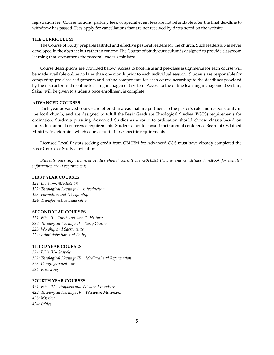registration fee. Course tuitions, parking fees, or special event fees are not refundable after the final deadline to withdraw has passed. Fees apply for cancellations that are not received by dates noted on the website.

#### **THE CURRICULUM**

The Course of Study prepares faithful and effective pastoral leaders for the church. Such leadership is never developed in the abstract but rather in context. The Course of Study curriculum is designed to provide classroom learning that strengthens the pastoral leader's ministry.

Course descriptions are provided below. Access to book lists and pre-class assignments for each course will be made available online no later than one month prior to each individual session. Students are responsible for completing pre-class assignments and online components for each course according to the deadlines provided by the instructor in the online learning management system. Access to the online learning management system, Sakai, will be given to students once enrollment is complete.

#### **ADVANCED COURSES**

Each year advanced courses are offered in areas that are pertinent to the pastor's role and responsibility in the local church, and are designed to fulfill the Basic Graduate Theological Studies (BGTS) requirements for ordination. Students pursuing Advanced Studies as a route to ordination should choose classes based on individual annual conference requirements. Students should consult their annual conference Board of Ordained Ministry to determine which courses fulfill those specific requirements.

Licensed Local Pastors seeking credit from GBHEM for Advanced COS must have already completed the Basic Course of Study curriculum.

*Students pursuing advanced studies should consult the GBHEM Policies and Guidelines handbook for detailed information about requirements*.

#### **FIRST YEAR COURSES**

*121: Bible I—Introduction 122: Theological Heritage I—Introduction 123: Formation and Discipleship 124: Transformative Leadership* 

#### **SECOND YEAR COURSES**

*221: Bible II—Torah and Israel's History 222: Theological Heritage II—Early Church 223: Worship and Sacraments 224: Administration and Polity*

## **THIRD YEAR COURSES**

*321: Bible III--Gospels 322: Theological Heritage III—Medieval and Reformation 323: Congregational Care 324: Preaching* 

## **FOURTH YEAR COURSES**

*421: Bible IV—Prophets and Wisdom Literature 422: Theological Heritage IV—Wesleyan Movement 423: Mission 424: Ethics*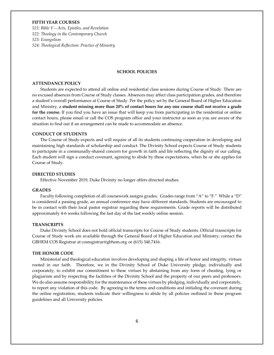## **FIFTH YEAR COURSES**

*521: Bible V—Acts, Epistles, and Revelation 522: Theology in the Contemporary Church 523: Evangelism 524: Theological Reflection: Practice of Ministry*

#### **SCHOOL POLICIES**

#### **ATTENDANCE POLICY**

Students are expected to attend all online and residential class sessions during Course of Study. There are no excused absences from Course of Study classes. Absences may affect class participation grades, and therefore a student's overall performance at Course of Study. Per the policy set by the General Board of Higher Education and Ministry, a **student missing more than 20% of contact hours for any one course shall not receive a grade for the course.** If you find you have an issue that will keep you from participating in the residential or online contact hours, please email or call the COS program office and your instructor as soon as you are aware of the situation to find out if an arrangement can be made to accommodate an absence.

## **CONDUCT OF STUDENTS**

The Course of Study expects and will require of all its students continuing cooperation in developing and maintaining high standards of scholarship and conduct. The Divinity School expects Course of Study students to participate in a communally-shared concern for growth in faith and life reflecting the dignity of our calling. Each student will sign a conduct covenant, agreeing to abide by these expectations, when he or she applies for Course of Study.

#### **DIRECTED STUDIES**

Effective November 2019, Duke Divinity no longer offers directed studies.

#### **GRADES**

Faculty following completion of all coursework assigns grades. Grades range from "A" to "F." While a "D" is considered a passing grade, an annual conference may have different standards. Students are encouraged to be in contact with their local pastor registrar regarding these requirements. Grade reports will be distributed approximately 4-6 weeks following the last day of the last weekly online session.

#### **TRANSCRIPTS**

Duke Divinity School does not hold official transcripts for Course of Study students. Official transcripts for Course of Study work are available through the General Board of Higher Education and Ministry; contact the GBHEM COS Registrar at cosregistrar@gbhem.org or (615) 340.7416.

#### **THE HONOR CODE**

Ministerial and theological education involves developing and shaping a life of honor and integrity, virtues rooted in our faith. Therefore, we in the Divinity School of Duke University pledge, individually and corporately, to exhibit our commitment to these virtues by abstaining from any form of cheating, lying or plagiarism and by respecting the facilities of the Divinity School and the property of our peers and professors. We do also assume responsibility for the maintenance of these virtues by pledging, individually and corporately, to report any violation of this code. By agreeing to the terms and conditions and initialing the covenant during the online registration, students indicate their willingness to abide by all policies outlined in these program guidelines and all University policies.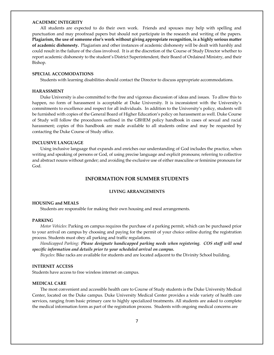#### **ACADEMIC INTEGRITY**

All students are expected to do their own work. Friends and spouses may help with spelling and punctuation and may proofread papers but should not participate in the research and writing of the papers. **Plagiarism, the use of someone else's work without giving appropriate recognition, is a highly serious matter of academic dishonesty.** Plagiarism and other instances of academic dishonesty will be dealt with harshly and could result in the failure of the class involved. It is at the discretion of the Course of Study Director whether to report academic dishonesty to the student's District Superintendent, their Board of Ordained Ministry, and their Bishop.

#### **SPECIAL ACCOMODATIONS**

Students with learning disabilities should contact the Director to discuss appropriate accommodations.

## **HARASSMENT**

Duke University is also committed to the free and vigorous discussion of ideas and issues. To allow this to happen, no form of harassment is acceptable at Duke University. It is inconsistent with the University's commitments to excellence and respect for all individuals. In addition to the University's policy, students will be furnished with copies of the General Board of Higher Education's policy on harassment as well. Duke Course of Study will follow the procedures outlined in the GBHEM policy handbook in cases of sexual and racial harassment; copies of this handbook are made available to all students online and may be requested by contacting the Duke Course of Study office.

#### **INCLUSIVE LANGUAGE**

Using inclusive language that expands and enriches our understanding of God includes the practice, when writing and speaking of persons or God, of using precise language and explicit pronouns; referring to collective and abstract nouns without gender; and avoiding the exclusive use of either masculine or feminine pronouns for God.

## **INFORMATION FOR SUMMER STUDENTS**

#### **LIVING ARRANGEMENTS**

#### **HOUSING and MEALS**

Students are responsible for making their own housing and meal arrangements.

#### **PARKING**

*Motor Vehicles*: Parking on campus requires the purchase of a parking permit, which can be purchased prior to your arrival on campus by choosing and paying for the permit of your choice online during the registration process. Students must obey all parking and traffic regulations.

*Handicapped Parking*: *Please designate handicapped parking needs when registering. COS staff will send specific information and details prior to your scheduled arrival on campus.*

*Bicycles*: Bike racks are available for students and are located adjacent to the Divinity School building.

## **INTERNET ACCESS**

Students have access to free wireless internet on campus.

#### **MEDICAL CARE**

The most convenient and accessible health care to Course of Study students is the Duke University Medical Center, located on the Duke campus. Duke University Medical Center provides a wide variety of health care services, ranging from basic primary care to highly specialized treatments. All students are asked to complete the medical information form as part of the registration process. Students with ongoing medical concerns are